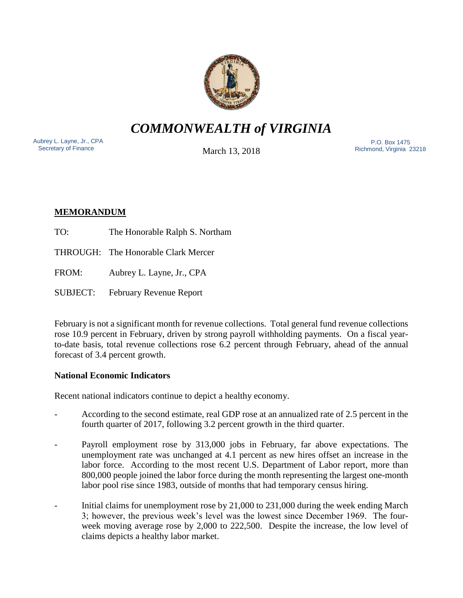

# *COMMONWEALTH of VIRGINIA*

Aubrey L. Layne, Jr., CPA Secretary of Finance

March 13, 2018

 P.O. Box 1475 Richmond, Virginia 23218

# **MEMORANDUM**

TO: The Honorable Ralph S. Northam

THROUGH: The Honorable Clark Mercer

FROM: Aubrey L. Layne, Jr., CPA

SUBJECT: February Revenue Report

February is not a significant month for revenue collections. Total general fund revenue collections rose 10.9 percent in February, driven by strong payroll withholding payments. On a fiscal yearto-date basis, total revenue collections rose 6.2 percent through February, ahead of the annual forecast of 3.4 percent growth.

## **National Economic Indicators**

Recent national indicators continue to depict a healthy economy.

- According to the second estimate, real GDP rose at an annualized rate of 2.5 percent in the fourth quarter of 2017, following 3.2 percent growth in the third quarter.
- Payroll employment rose by 313,000 jobs in February, far above expectations. The unemployment rate was unchanged at 4.1 percent as new hires offset an increase in the labor force. According to the most recent U.S. Department of Labor report, more than 800,000 people joined the labor force during the month representing the largest one-month labor pool rise since 1983, outside of months that had temporary census hiring.
- Initial claims for unemployment rose by 21,000 to 231,000 during the week ending March 3; however, the previous week's level was the lowest since December 1969. The fourweek moving average rose by 2,000 to 222,500. Despite the increase, the low level of claims depicts a healthy labor market.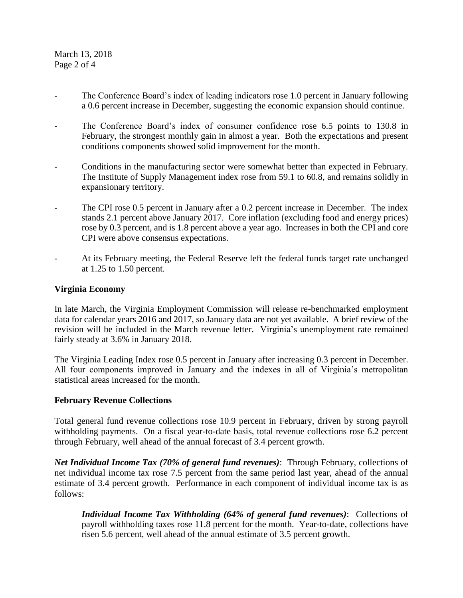March 13, 2018 Page 2 of 4

- The Conference Board's index of leading indicators rose 1.0 percent in January following a 0.6 percent increase in December, suggesting the economic expansion should continue.
- The Conference Board's index of consumer confidence rose 6.5 points to 130.8 in February, the strongest monthly gain in almost a year. Both the expectations and present conditions components showed solid improvement for the month.
- Conditions in the manufacturing sector were somewhat better than expected in February. The Institute of Supply Management index rose from 59.1 to 60.8, and remains solidly in expansionary territory.
- The CPI rose 0.5 percent in January after a 0.2 percent increase in December. The index stands 2.1 percent above January 2017. Core inflation (excluding food and energy prices) rose by 0.3 percent, and is 1.8 percent above a year ago. Increases in both the CPI and core CPI were above consensus expectations.
- At its February meeting, the Federal Reserve left the federal funds target rate unchanged at 1.25 to 1.50 percent.

#### **Virginia Economy**

In late March, the Virginia Employment Commission will release re-benchmarked employment data for calendar years 2016 and 2017, so January data are not yet available. A brief review of the revision will be included in the March revenue letter. Virginia's unemployment rate remained fairly steady at 3.6% in January 2018.

The Virginia Leading Index rose 0.5 percent in January after increasing 0.3 percent in December. All four components improved in January and the indexes in all of Virginia's metropolitan statistical areas increased for the month.

#### **February Revenue Collections**

Total general fund revenue collections rose 10.9 percent in February, driven by strong payroll withholding payments. On a fiscal year-to-date basis, total revenue collections rose 6.2 percent through February, well ahead of the annual forecast of 3.4 percent growth.

*Net Individual Income Tax (70% of general fund revenues)*: Through February, collections of net individual income tax rose 7.5 percent from the same period last year, ahead of the annual estimate of 3.4 percent growth. Performance in each component of individual income tax is as follows:

*Individual Income Tax Withholding (64% of general fund revenues)*: Collections of payroll withholding taxes rose 11.8 percent for the month. Year-to-date, collections have risen 5.6 percent, well ahead of the annual estimate of 3.5 percent growth.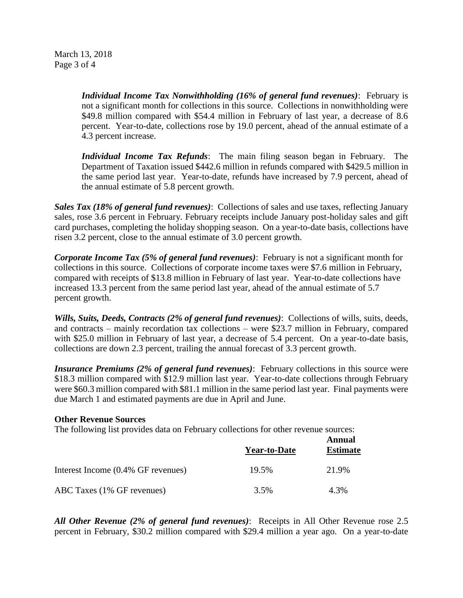March 13, 2018 Page 3 of 4

> *Individual Income Tax Nonwithholding (16% of general fund revenues)*: February is not a significant month for collections in this source. Collections in nonwithholding were \$49.8 million compared with \$54.4 million in February of last year, a decrease of 8.6 percent. Year-to-date, collections rose by 19.0 percent, ahead of the annual estimate of a 4.3 percent increase.

> *Individual Income Tax Refunds*: The main filing season began in February. The Department of Taxation issued \$442.6 million in refunds compared with \$429.5 million in the same period last year. Year-to-date, refunds have increased by 7.9 percent, ahead of the annual estimate of 5.8 percent growth.

*Sales Tax (18% of general fund revenues)*: Collections of sales and use taxes, reflecting January sales, rose 3.6 percent in February. February receipts include January post-holiday sales and gift card purchases, completing the holiday shopping season. On a year-to-date basis, collections have risen 3.2 percent, close to the annual estimate of 3.0 percent growth.

*Corporate Income Tax (5% of general fund revenues)*: February is not a significant month for collections in this source. Collections of corporate income taxes were \$7.6 million in February, compared with receipts of \$13.8 million in February of last year. Year-to-date collections have increased 13.3 percent from the same period last year, ahead of the annual estimate of 5.7 percent growth.

*Wills, Suits, Deeds, Contracts (2% of general fund revenues)*: Collections of wills, suits, deeds, and contracts – mainly recordation tax collections – were \$23.7 million in February, compared with \$25.0 million in February of last year, a decrease of 5.4 percent. On a year-to-date basis, collections are down 2.3 percent, trailing the annual forecast of 3.3 percent growth.

*Insurance Premiums (2% of general fund revenues)*: February collections in this source were \$18.3 million compared with \$12.9 million last year. Year-to-date collections through February were \$60.3 million compared with \$81.1 million in the same period last year. Final payments were due March 1 and estimated payments are due in April and June.

#### **Other Revenue Sources**

The following list provides data on February collections for other revenue sources:

|                                    | <b>Year-to-Date</b> | Annual<br><b>Estimate</b> |
|------------------------------------|---------------------|---------------------------|
| Interest Income (0.4% GF revenues) | 19.5%               | 21.9%                     |
| ABC Taxes (1% GF revenues)         | 3.5%                | 4.3%                      |

*All Other Revenue (2% of general fund revenues)*: Receipts in All Other Revenue rose 2.5 percent in February, \$30.2 million compared with \$29.4 million a year ago. On a year-to-date